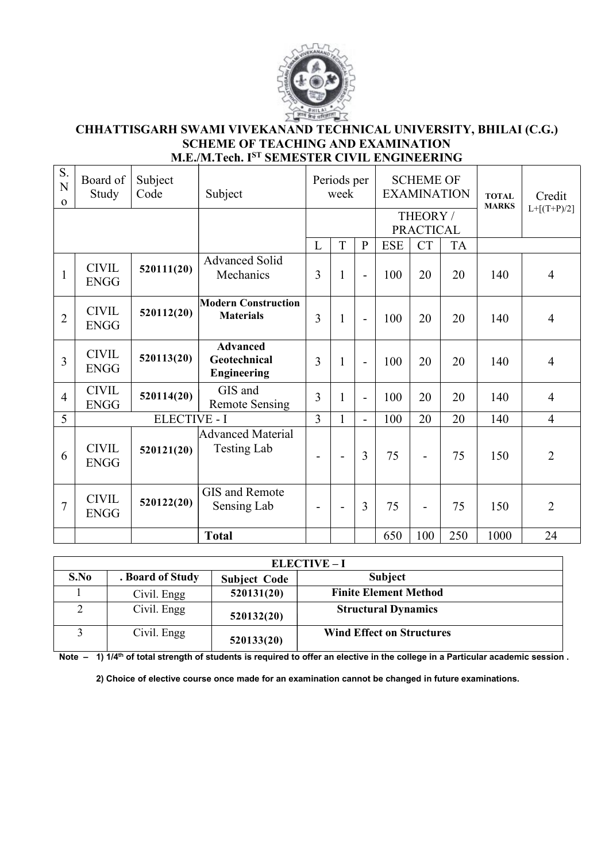

# **CHHATTISGARH SWAMI VIVEKANAND TECHNICAL UNIVERSITY, BHILAI (C.G.) SCHEME OF TEACHING AND EXAMINATION M.E./M.Tech. I ST SEMESTER CIVIL ENGINEERING**

| S.<br>$\mathbf N$<br>$\mathbf{O}$ | Board of<br>Study           | Subject<br>Code     | Subject                                               |                          | Periods per<br>week      |                          |            | <b>SCHEME OF</b>             | <b>EXAMINATION</b> | <b>TOTAL</b><br><b>MARKS</b> | Credit          |  |
|-----------------------------------|-----------------------------|---------------------|-------------------------------------------------------|--------------------------|--------------------------|--------------------------|------------|------------------------------|--------------------|------------------------------|-----------------|--|
|                                   |                             |                     |                                                       |                          |                          |                          |            | THEORY /<br><b>PRACTICAL</b> |                    |                              | $L + [(T+P)/2]$ |  |
|                                   |                             |                     |                                                       | L                        | T                        | $\mathbf{P}$             | <b>ESE</b> | <b>CT</b>                    | <b>TA</b>          |                              |                 |  |
| $\mathbf{1}$                      | <b>CIVIL</b><br><b>ENGG</b> | 520111(20)          | <b>Advanced Solid</b><br>Mechanics                    | 3                        | $\mathbf{1}$             | $\overline{a}$           | 100        | 20                           | 20                 | 140                          | 4               |  |
| $\overline{2}$                    | <b>CIVIL</b><br><b>ENGG</b> | 520112(20)          | <b>Modern Construction</b><br><b>Materials</b>        | 3                        | $\mathbf{1}$             | $\overline{a}$           | 100        | 20                           | 20                 | 140                          | $\overline{4}$  |  |
| 3                                 | <b>CIVIL</b><br><b>ENGG</b> | 520113(20)          | <b>Advanced</b><br>Geotechnical<br><b>Engineering</b> | 3                        | 1                        | $\overline{\phantom{a}}$ | 100        | 20                           | 20                 | 140                          | 4               |  |
| $\overline{4}$                    | <b>CIVIL</b><br><b>ENGG</b> | 520114(20)          | GIS and<br><b>Remote Sensing</b>                      | 3                        | 1                        | $\overline{a}$           | 100        | 20                           | 20                 | 140                          | $\overline{4}$  |  |
| 5                                 |                             | <b>ELECTIVE - I</b> |                                                       | 3                        |                          | $\overline{\phantom{a}}$ | 100        | 20                           | 20                 | 140                          | $\overline{4}$  |  |
| 6                                 | <b>CIVIL</b><br><b>ENGG</b> | 520121(20)          | Advanced Material<br><b>Testing Lab</b>               | $\overline{\phantom{0}}$ | $\blacksquare$           | 3                        | 75         |                              | 75                 | 150                          | $\overline{2}$  |  |
| $\overline{7}$                    | <b>CIVIL</b><br><b>ENGG</b> | 520122(20)          | GIS and Remote<br>Sensing Lab                         | $\overline{\phantom{0}}$ | $\overline{\phantom{0}}$ | 3                        | 75         |                              | 75                 | 150                          | $\overline{2}$  |  |
|                                   |                             |                     | <b>Total</b>                                          |                          |                          |                          | 650        | 100                          | 250                | 1000                         | 24              |  |

|      |                  |                     | <b>ELECTIVE – I</b>              |
|------|------------------|---------------------|----------------------------------|
| S.No | . Board of Study | <b>Subject Code</b> | <b>Subject</b>                   |
|      | Civil. Engg      | 520131(20)          | <b>Finite Element Method</b>     |
|      | Civil. Engg      | 520132(20)          | <b>Structural Dynamics</b>       |
|      | Civil. Engg      | 520133(20)          | <b>Wind Effect on Structures</b> |

Note - 1) 1/4<sup>th</sup> of total strength of students is required to offer an elective in the college in a Particular academic session.

**2) Choice of elective course once made for an examination cannot be changed in future examinations.**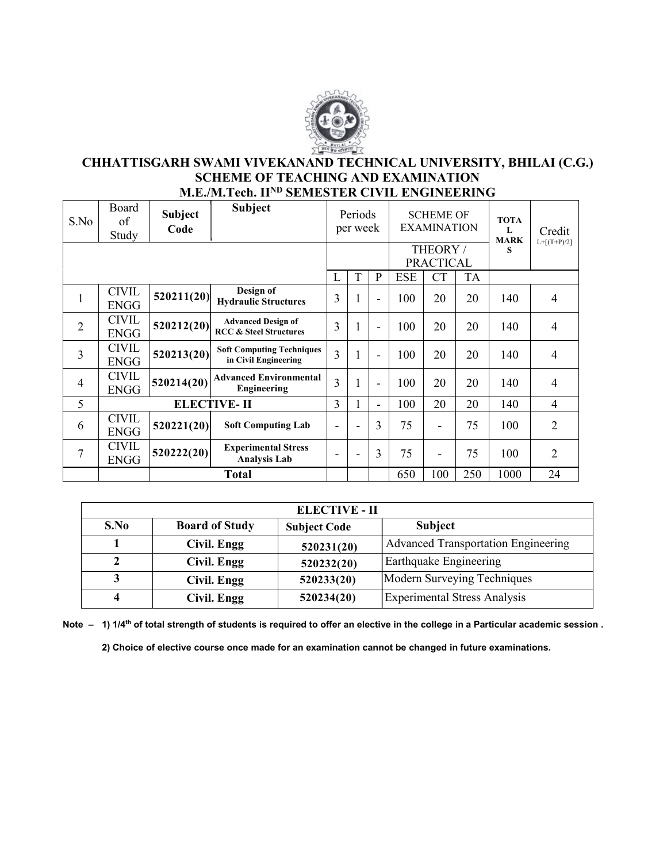

#### **CHHATTISGARH SWAMI VIVEKANAND TECHNICAL UNIVERSITY, BHILAI (C.G.) SCHEME OF TEACHING AND EXAMINATION M.E./M.Tech. IIND SEMESTER CIVIL ENGINEERING**

| S.No           | Board<br>of<br>Study        | <b>Subject</b><br>Code | <b>Subject</b>                                                 |                          | Periods<br>per week |                          |            | <b>SCHEME OF</b><br><b>EXAMINATION</b> |           | <b>TOTA</b><br>L<br><b>MARK</b> | Credit<br>$L+[ (T+P)/2]$ |
|----------------|-----------------------------|------------------------|----------------------------------------------------------------|--------------------------|---------------------|--------------------------|------------|----------------------------------------|-----------|---------------------------------|--------------------------|
|                |                             |                        |                                                                |                          |                     |                          |            | THEORY /<br><b>PRACTICAL</b>           |           | S                               |                          |
|                |                             |                        |                                                                | L                        | T                   | $\mathbf{P}$             | <b>ESE</b> | <b>CT</b>                              | <b>TA</b> |                                 |                          |
| $\mathbf{1}$   | <b>CIVIL</b><br><b>ENGG</b> | 520211(20)             | Design of<br><b>Hydraulic Structures</b>                       | 3                        |                     | $\overline{\phantom{a}}$ | 100        | 20                                     | 20        | 140                             | 4                        |
| $\overline{2}$ | <b>CIVIL</b><br><b>ENGG</b> | 520212(20)             | <b>Advanced Design of</b><br><b>RCC &amp; Steel Structures</b> | 3                        |                     | $\overline{\phantom{a}}$ | 100        | 20                                     | 20        | 140                             | $\overline{\mathcal{A}}$ |
| 3              | <b>CIVIL</b><br><b>ENGG</b> | 520213(20)             | <b>Soft Computing Techniques</b><br>in Civil Engineering       | $\overline{3}$           |                     | $\overline{\phantom{a}}$ | 100        | 20                                     | 20        | 140                             | 4                        |
| $\overline{4}$ | <b>CIVIL</b><br><b>ENGG</b> | 520214(20)             | <b>Advanced Environmental</b><br>Engineering                   | 3                        |                     | $\overline{\phantom{a}}$ | 100        | 20                                     | 20        | 140                             | 4                        |
| 5              |                             |                        | <b>ELECTIVE-II</b>                                             | 3                        |                     | ÷                        | 100        | 20                                     | 20        | 140                             | 4                        |
| 6              | <b>CIVIL</b><br><b>ENGG</b> | 520221(20)             | <b>Soft Computing Lab</b>                                      | $\overline{\phantom{0}}$ | $\blacksquare$      | 3                        | 75         | $\overline{\phantom{a}}$               | 75        | 100                             | $\overline{2}$           |
| $\overline{7}$ | <b>CIVIL</b><br><b>ENGG</b> | 520222(20)             | <b>Experimental Stress</b><br><b>Analysis Lab</b>              | $\overline{\phantom{0}}$ | $\blacksquare$      | 3                        | 75         | $\overline{\phantom{a}}$               | 75        | 100                             | 2                        |
|                |                             |                        | <b>Total</b>                                                   |                          |                     |                          | 650        | 100                                    | 250       | 1000                            | 24                       |

|      |                       | <b>ELECTIVE - II</b> |                                            |  |  |  |
|------|-----------------------|----------------------|--------------------------------------------|--|--|--|
| S.No | <b>Board of Study</b> | <b>Subject Code</b>  | <b>Subject</b>                             |  |  |  |
|      | Civil. Engg           | 520231(20)           | <b>Advanced Transportation Engineering</b> |  |  |  |
|      | Civil. Engg           | 520232(20)           | Earthquake Engineering                     |  |  |  |
|      | Civil. Engg           | 520233(20)           | Modern Surveying Techniques                |  |  |  |
| 4    | Civil. Engg           | 520234(20)           | <b>Experimental Stress Analysis</b>        |  |  |  |

Note - 1) 1/4<sup>th</sup> of total strength of students is required to offer an elective in the college in a Particular academic session.

**2) Choice of elective course once made for an examination cannot be changed in future examinations.**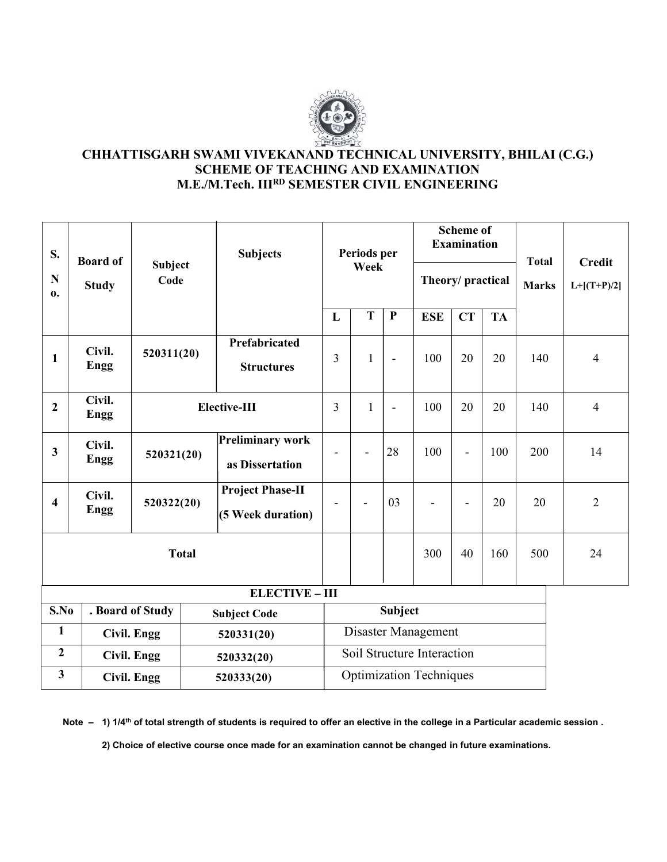

## **CHHATTISGARH SWAMI VIVEKANAND TECHNICAL UNIVERSITY, BHILAI (C.G.) SCHEME OF TEACHING AND EXAMINATION M.E./M.Tech. IIIRD SEMESTER CIVIL ENGINEERING**

| S.                      | <b>Board of</b>       |                        | <b>Subjects</b>                              |                          | Periods per  |                |                                | <b>Scheme of</b><br><b>Examination</b> |           | <b>Total</b> | <b>Credit</b>  |  |
|-------------------------|-----------------------|------------------------|----------------------------------------------|--------------------------|--------------|----------------|--------------------------------|----------------------------------------|-----------|--------------|----------------|--|
| N<br>$\mathbf{0}$ .     | <b>Study</b>          | <b>Subject</b><br>Code |                                              |                          | Week         |                | Theory/practical               |                                        |           | <b>Marks</b> | $L+[ (T+P)/2]$ |  |
|                         |                       |                        |                                              | L                        | T            | $\mathbf P$    | <b>ESE</b>                     | CT                                     | <b>TA</b> |              |                |  |
| $\mathbf{1}$            | Civil.<br><b>Engg</b> | 520311(20)             | Prefabricated<br><b>Structures</b>           | $\overline{3}$           | $\mathbf{1}$ | $\blacksquare$ | 100                            | 20                                     | 20        | 140          | $\overline{4}$ |  |
| $\boldsymbol{2}$        | Civil.<br><b>Engg</b> |                        | Elective-III                                 | $\overline{3}$           | $\mathbf{1}$ | $\blacksquare$ | 100                            | 20                                     | 20        | 140          | $\overline{4}$ |  |
| $\mathbf{3}$            | Civil.<br><b>Engg</b> | 520321(20)             | <b>Preliminary work</b><br>as Dissertation   | $\overline{\phantom{a}}$ |              | 28             | 100                            | $\overline{\phantom{a}}$               | 100       | 200          | 14             |  |
| $\overline{\mathbf{4}}$ | Civil.<br><b>Engg</b> | 520322(20)             | <b>Project Phase-II</b><br>(5 Week duration) | $\overline{\phantom{a}}$ |              | 03             |                                | $\blacksquare$                         | 20        | 20           | $\overline{2}$ |  |
|                         |                       | <b>Total</b>           |                                              |                          |              |                | 300                            | 40                                     | 160       | 500          | 24             |  |
|                         |                       |                        | <b>ELECTIVE - III</b>                        |                          |              |                |                                |                                        |           |              |                |  |
| S.No                    |                       | . Board of Study       | <b>Subject Code</b>                          |                          |              | <b>Subject</b> |                                |                                        |           |              |                |  |
| $\mathbf{1}$            |                       | <b>Civil. Engg</b>     | 520331(20)                                   |                          |              |                | Disaster Management            |                                        |           |              |                |  |
| $\overline{2}$          |                       | <b>Civil. Engg</b>     | 520332(20)                                   |                          |              |                | Soil Structure Interaction     |                                        |           |              |                |  |
| $\overline{\mathbf{3}}$ |                       | <b>Civil. Engg</b>     | 520333(20)                                   |                          |              |                | <b>Optimization Techniques</b> |                                        |           |              |                |  |

Note - 1) 1/4<sup>th</sup> of total strength of students is required to offer an elective in the college in a Particular academic session.

**2) Choice of elective course once made for an examination cannot be changed in future examinations.**